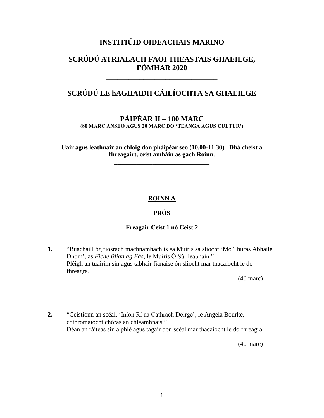## **INSTITIÚID OIDEACHAIS MARINO**

# **SCRÚDÚ ATRIALACH FAOI THEASTAIS GHAEILGE, FÓMHAR 2020**

**\_\_\_\_\_\_\_\_\_\_\_\_\_\_\_\_\_\_\_\_\_\_\_\_\_\_\_\_\_\_**

# **SCRÚDÚ LE hAGHAIDH CÁILÍOCHTA SA GHAEILGE \_\_\_\_\_\_\_\_\_\_\_\_\_\_\_\_\_\_\_\_\_\_\_\_\_\_\_\_\_\_**

# **PÁIPÉAR II – 100 MARC**

**(80 MARC ANSEO AGUS 20 MARC DO 'TEANGA AGUS CULTÚR')** \_\_\_\_\_\_\_\_\_\_\_\_\_\_\_\_\_\_\_\_\_\_\_\_\_\_\_\_\_\_

**Uair agus leathuair an chloig don pháipéar seo (10.00-11.30). Dhá cheist a fhreagairt, ceist amháin as gach Roinn**.

\_\_\_\_\_\_\_\_\_\_\_\_\_\_\_\_\_\_\_\_\_\_\_\_\_\_\_\_\_\_

## **ROINN A**

## **PRÓS**

#### **Freagair Ceist 1 nó Ceist 2**

**1.** "Buachaill óg fiosrach machnamhach is ea Muiris sa sliocht "Mo Thuras Abhaile Dhom", as *Fiche Blian ag Fás*, le Muiris Ó Súilleabháin." Pléigh an tuairim sin agus tabhair fianaise ón sliocht mar thacaíocht le do fhreagra.

(40 marc)

**2.** "Ceistíonn an scéal, "Iníon Rí na Cathrach Deirge", le Angela Bourke, cothromaíocht chóras an chleamhnais." Déan an ráiteas sin a phlé agus tagair don scéal mar thacaíocht le do fhreagra.

(40 marc)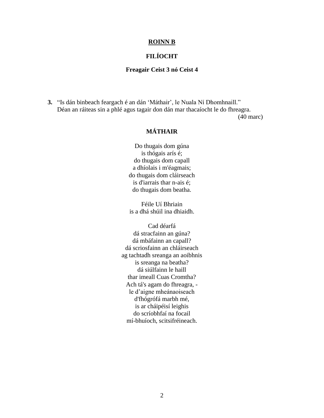#### **ROINN B**

## **FILÍOCHT**

#### **Freagair Ceist 3 nó Ceist 4**

**3.** "Is dán binbeach feargach é an dán "Máthair", le Nuala Ní Dhomhnaill." Déan an ráiteas sin a phlé agus tagair don dán mar thacaíocht le do fhreagra.

(40 marc)

## **MÁTHAIR**

Do thugais dom gúna is thógais arís é; do thugais dom capall a dhíolais i m'éagmais; do thugais dom cláirseach is d'iarrais thar n-ais é; do thugais dom beatha.

Féile Uí Bhriain is a dhá shúil ina dhiaidh.

Cad déarfá dá stracfainn an gúna? dá mbáfainn an capall? dá scriosfainn an chláirseach ag tachtadh sreanga an aoibhnis is sreanga na beatha? dá siúlfainn le haill thar imeall Cuas Cromtha? Ach tá's agam do fhreagra, le d"aigne mheánaoiseach d'fhógrófá marbh mé, is ar cháipéisí leighis do scríobhfaí na focail mí-bhuíoch, scitsifréineach.